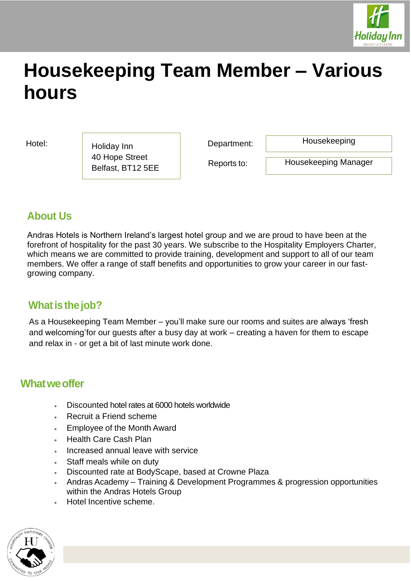

# **Housekeeping Team Member – Various hours**

Hotel: Holiday Inn Repartment: 40 Hope Street Belfast, BT12 5EE

Housekeeping

Reports to:

Housekeeping Manager

# **About Us**

Andras Hotels is Northern Ireland's largest hotel group and we are proud to have been at the forefront of hospitality for the past 30 years. We subscribe to the Hospitality Employers Charter, which means we are committed to provide training, development and support to all of our team members. We offer a range of staff benefits and opportunities to grow your career in our fastgrowing company.

# **What is the job?**

As a Housekeeping Team Member – you'll make sure our rooms and suites are always 'fresh and welcoming'for our guests after a busy day at work – creating a haven for them to escape and relax in - or get a bit of last minute work done.

### **Whatweoffer**

- Discounted hotel rates at 6000 hotels worldwide
- Recruit a Friend scheme
- Employee of the Month Award
- Health Care Cash Plan
- Increased annual leave with service
- Staff meals while on duty
- Discounted rate at BodyScape, based at Crowne Plaza
- Andras Academy Training & Development Programmes & progression opportunities within the Andras Hotels Group
- Hotel Incentive scheme.

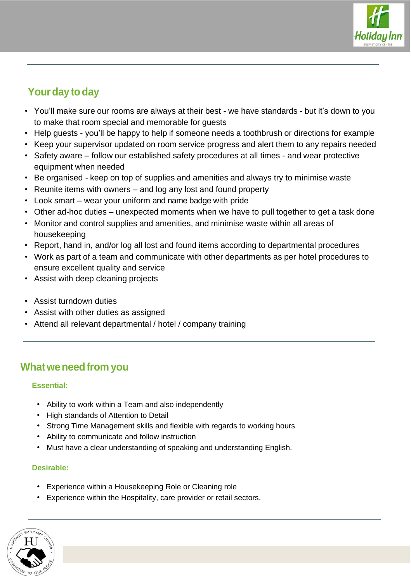

# Your day to day

- You'll make sure our rooms are always at their best we have standards but it's down to you to make that room special and memorable for guests
- Help guests you'll be happy to help if someone needs a toothbrush or directions for example
- Keep your supervisor updated on room service progress and alert them to any repairs needed
- Safety aware follow our established safety procedures at all times and wear protective equipment when needed
- Be organised keep on top of supplies and amenities and always try to minimise waste
- Reunite items with owners and log any lost and found property
- Look smart wear your uniform and name badge with pride
- Other ad-hoc duties unexpected moments when we have to pull together to get a task done
- Monitor and control supplies and amenities, and minimise waste within all areas of housekeeping
- Report, hand in, and/or log all lost and found items according to departmental procedures
- Work as part of a team and communicate with other departments as per hotel procedures to ensure excellent quality and service
- Assist with deep cleaning projects
- Assist turndown duties
- Assist with other duties as assigned
- Attend all relevant departmental / hotel / company training

## **Whatweneedfrom you**

#### **Essential:**

- Ability to work within a Team and also independently
- High standards of Attention to Detail
- Strong Time Management skills and flexible with regards to working hours
- Ability to communicate and follow instruction
- Must have a clear understanding of speaking and understanding English.

#### **Desirable:**

- Experience within a Housekeeping Role or Cleaning role
- Experience within the Hospitality, care provider or retail sectors.